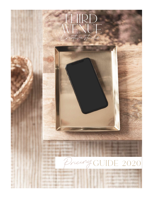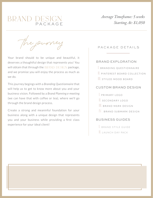## BRAND DESIGN

*Average Timeframe: 5 weeks Starting At: \$1,050*

The journey

Your brand should to be unique and beautiful, it deserves a thoughtful design that represents you! You will obtain that through the BRAND DESIGN package, and we promise you will enjoy the process as much as we do.

This journey begings with a *Branding Questionnaire* that will help us to get to know more about you and your business vision. Followed by a *Brand Planning e-meeting* (we can have that with coffee or tea), where we'll go through the brand design process.

Create a strong and meaninful foundation for your business along with a unique design that represents you and your business while providing a first class experience for your ideal client!

### PACKAGE DETAILS

### BRAND EXPLORATION

- I. BRANDING QUESTIONNAIRE
- II. PINTEREST BOARD COLLECTION
- III. STYLED MOOD BOARD

### CUSTOM BRAND DESIGN

- I. PRIMARY LOGO
- II. SECONDARY LOGO
- III. BRAND MARK DESIGN
- IV. BRAND SUBMARK DESIGN

### BUSINESS GUIDES

I. BRAND STYLE GUIDE II. LAUNCH DAY PACK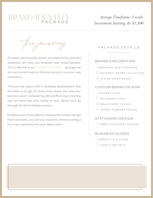# BRAND IDENTITY

### *Average Timeframe: 5 weeks Investment Starting At: \$1,500*

The journey

A unique and beautiful brand accompanied by polished stationery will help you establish your brand identity. This is offered in our  $\quad$  BRAND IDENTITY package, we are sure you will want to find any excuse to use your new stationery!

This journey begins with a *Branding Questionnaire* that will help us to get to know more about you and your business vision. Followed by a Brand Planning e-meeting (we can have that with coffee or tea), where we'll go through the brand design process.

Establish your brand identity along with a unique design that represents you and your business while providing a first class experience for your ideal client!

### PACKAGE DETAILS

### BRAND EXPLORATION

- I. BRANDING QUESTIONNAIRE
- II. PINTEREST BOARD COLLECTION
- III. STYLED MOOD BOARD

### CUSTOM BRAND DESIGN

- I. PRIMARY LOGO
- II. SECONDARY LOGO
- III. BRAND MARK DESIGN
- IV. BRAND SUBMARK DESIGN

### STATIONARY DESIGN

I. THREE STATIONERY DESIGNS

### BUSINESS GUIDES

- I. BRAND STYLE GUIDE
- II. L A UNCH DAY PACK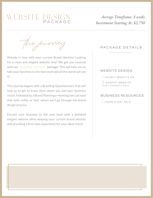## WEBSITE DESIGN

*Average Timeframe: 8 weeks Investment Starting At: \$2,750*

The journey

Already in love with your current Brand Identity? Looking for a clean and elegant website only? We got you covered with our WEBSITE DESIGN package! This will help you to take your business to the next level and all the world will see it!

This journey begins with a Branding Questionnaire that will help us to get to know more about you and your business vision. Followed by a Brand Planning e-meeting (we can have that with coffee or tea), where we'll go through the brand design process.

Elevate your business to the next level with a polished elegant website while keeping your current brand identity and providing a first class experience for your ideal client!

### PACKAGE DETAILS

### WEBSITE DESIGN

I. SHOWIT WEBSITE OR

II. S H OPIFY WEB SITE ( *F O R E - C O M M E RC E O N LY* )

### BUSINESS RESOURCES

I. LAUNCH DAY PACK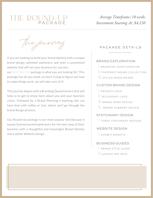## THE ROUND-UP<br>PACKAGE

*Average Timeframe: 10 weeks Investment Starting At: \$4,150*

The journey

If you are looking to build your brand identity with a unique brand design, polished stationery, and with a customized website that will set your business for success, our ROUND-UP package is what you are looking for! This package has all you need, no more trying to figure out how to make things work, we will take care of it!

This journey begins with a Branding Questionnaire that will help us to get to know more about you and your business vision. Followed by a Brand Planning e-meeting (we can have that with coffee or tea), where we'll go through the brand design process.

Our Round-Up package is our most popular one because it equips businesses/entrepreneurs for the next step of their business with a thoughtful and meaningful Brand Identity and a stellar Website design. The second second series of the second second series of the second series of the s

### PACKAGE DETAILS

### BRAND EXPLORATION

- I. BRANDING QUESTIONNAIRE
- II. PINTEREST BOARD COLLECTION
- III. STYLED MOOD BOARD

### CUSTOM BRAND DESIGN

- I. PRIMARY LOGO
- II. SECONDARY LOGO
- III. BRAND MARK DESIGN
- IV. BRAND SUBMARK DESIGN

### STATIONARY DESIGN

I. THREE STATIONERY DESIGNS

### WEBSITE DESIGN

### BUSINESS GUIDES

- I. BRAND STYLE GUIDE
- II. L A UNCH DAY PACK